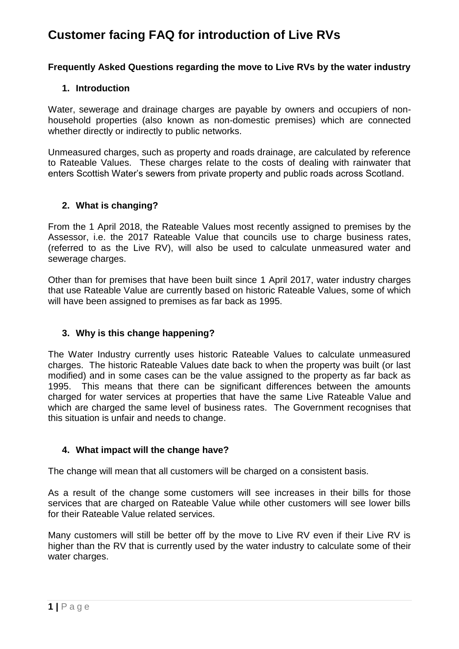### **Frequently Asked Questions regarding the move to Live RVs by the water industry**

#### **1. Introduction**

Water, sewerage and drainage charges are payable by owners and occupiers of nonhousehold properties (also known as non-domestic premises) which are connected whether directly or indirectly to public networks.

Unmeasured charges, such as property and roads drainage, are calculated by reference to Rateable Values. These charges relate to the costs of dealing with rainwater that enters Scottish Water's sewers from private property and public roads across Scotland.

#### **2. What is changing?**

From the 1 April 2018, the Rateable Values most recently assigned to premises by the Assessor, i.e. the 2017 Rateable Value that councils use to charge business rates, (referred to as the Live RV), will also be used to calculate unmeasured water and sewerage charges.

Other than for premises that have been built since 1 April 2017, water industry charges that use Rateable Value are currently based on historic Rateable Values, some of which will have been assigned to premises as far back as 1995.

### **3. Why is this change happening?**

The Water Industry currently uses historic Rateable Values to calculate unmeasured charges. The historic Rateable Values date back to when the property was built (or last modified) and in some cases can be the value assigned to the property as far back as 1995. This means that there can be significant differences between the amounts charged for water services at properties that have the same Live Rateable Value and which are charged the same level of business rates. The Government recognises that this situation is unfair and needs to change.

### **4. What impact will the change have?**

The change will mean that all customers will be charged on a consistent basis.

As a result of the change some customers will see increases in their bills for those services that are charged on Rateable Value while other customers will see lower bills for their Rateable Value related services.

Many customers will still be better off by the move to Live RV even if their Live RV is higher than the RV that is currently used by the water industry to calculate some of their water charges.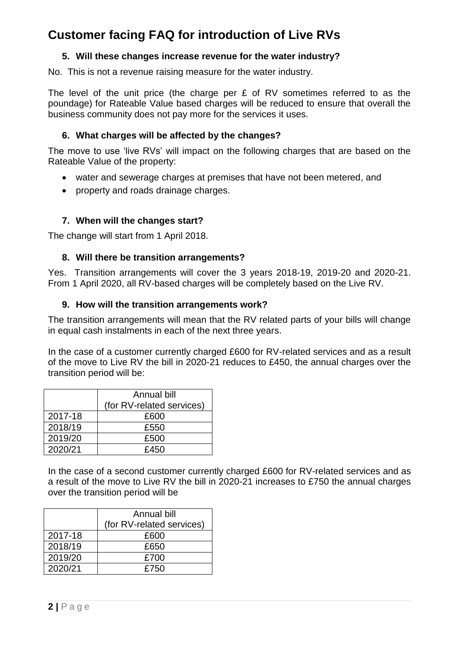## **5. Will these changes increase revenue for the water industry?**

No. This is not a revenue raising measure for the water industry.

The level of the unit price (the charge per £ of RV sometimes referred to as the poundage) for Rateable Value based charges will be reduced to ensure that overall the business community does not pay more for the services it uses.

### **6. What charges will be affected by the changes?**

The move to use 'live RVs' will impact on the following charges that are based on the Rateable Value of the property:

- water and sewerage charges at premises that have not been metered, and
- property and roads drainage charges.

## **7. When will the changes start?**

The change will start from 1 April 2018.

### **8. Will there be transition arrangements?**

Yes. Transition arrangements will cover the 3 years 2018-19, 2019-20 and 2020-21. From 1 April 2020, all RV-based charges will be completely based on the Live RV.

### **9. How will the transition arrangements work?**

The transition arrangements will mean that the RV related parts of your bills will change in equal cash instalments in each of the next three years.

In the case of a customer currently charged £600 for RV-related services and as a result of the move to Live RV the bill in 2020-21 reduces to £450, the annual charges over the transition period will be:

|         | Annual bill               |  |
|---------|---------------------------|--|
|         | (for RV-related services) |  |
| 2017-18 | £600                      |  |
| 2018/19 | £550                      |  |
| 2019/20 | £500                      |  |
| 2020/21 | £450                      |  |

In the case of a second customer currently charged £600 for RV-related services and as a result of the move to Live RV the bill in 2020-21 increases to £750 the annual charges over the transition period will be

|         | Annual bill               |  |
|---------|---------------------------|--|
|         | (for RV-related services) |  |
| 2017-18 | £600                      |  |
| 2018/19 | £650                      |  |
| 2019/20 | £700                      |  |
| 2020/21 | £750                      |  |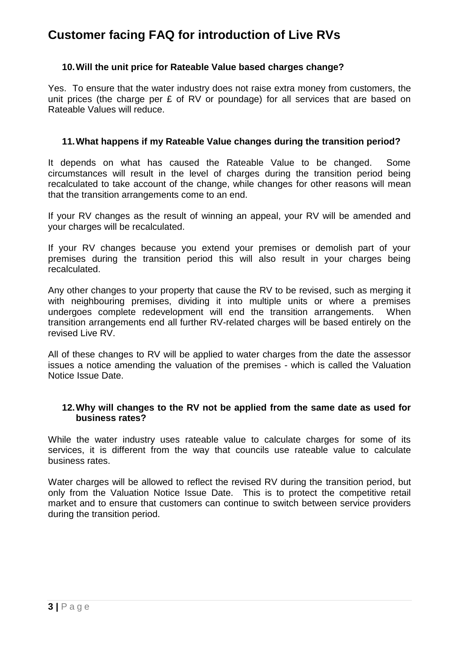#### **10.Will the unit price for Rateable Value based charges change?**

Yes. To ensure that the water industry does not raise extra money from customers, the unit prices (the charge per £ of RV or poundage) for all services that are based on Rateable Values will reduce.

#### **11.What happens if my Rateable Value changes during the transition period?**

It depends on what has caused the Rateable Value to be changed. Some circumstances will result in the level of charges during the transition period being recalculated to take account of the change, while changes for other reasons will mean that the transition arrangements come to an end.

If your RV changes as the result of winning an appeal, your RV will be amended and your charges will be recalculated.

If your RV changes because you extend your premises or demolish part of your premises during the transition period this will also result in your charges being recalculated.

Any other changes to your property that cause the RV to be revised, such as merging it with neighbouring premises, dividing it into multiple units or where a premises undergoes complete redevelopment will end the transition arrangements. When transition arrangements end all further RV-related charges will be based entirely on the revised Live RV.

All of these changes to RV will be applied to water charges from the date the assessor issues a notice amending the valuation of the premises - which is called the Valuation Notice Issue Date.

#### **12.Why will changes to the RV not be applied from the same date as used for business rates?**

While the water industry uses rateable value to calculate charges for some of its services, it is different from the way that councils use rateable value to calculate business rates.

Water charges will be allowed to reflect the revised RV during the transition period, but only from the Valuation Notice Issue Date. This is to protect the competitive retail market and to ensure that customers can continue to switch between service providers during the transition period.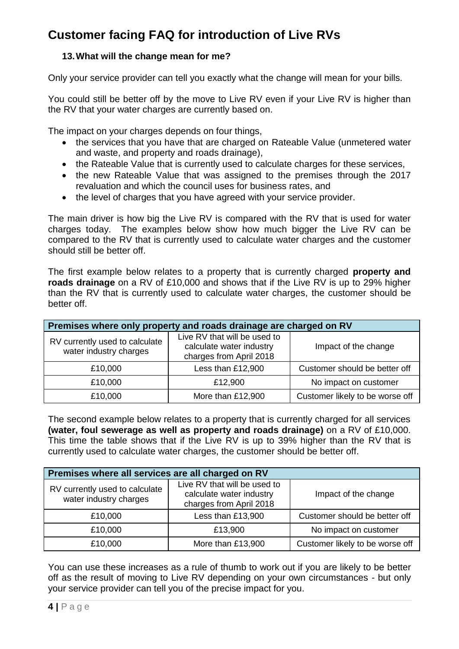## **13.What will the change mean for me?**

Only your service provider can tell you exactly what the change will mean for your bills.

You could still be better off by the move to Live RV even if your Live RV is higher than the RV that your water charges are currently based on.

The impact on your charges depends on four things,

- the services that you have that are charged on Rateable Value (unmetered water and waste, and property and roads drainage),
- the Rateable Value that is currently used to calculate charges for these services,
- the new Rateable Value that was assigned to the premises through the 2017 revaluation and which the council uses for business rates, and
- the level of charges that you have agreed with your service provider.

The main driver is how big the Live RV is compared with the RV that is used for water charges today. The examples below show how much bigger the Live RV can be compared to the RV that is currently used to calculate water charges and the customer should still be better off.

The first example below relates to a property that is currently charged **property and roads drainage** on a RV of £10,000 and shows that if the Live RV is up to 29% higher than the RV that is currently used to calculate water charges, the customer should be better off.

| Premises where only property and roads drainage are charged on RV |                                                                                     |                                 |  |  |
|-------------------------------------------------------------------|-------------------------------------------------------------------------------------|---------------------------------|--|--|
| RV currently used to calculate<br>water industry charges          | Live RV that will be used to<br>calculate water industry<br>charges from April 2018 | Impact of the change            |  |  |
| £10,000                                                           | Less than £12,900                                                                   | Customer should be better off   |  |  |
| £10,000                                                           | £12,900                                                                             | No impact on customer           |  |  |
| £10,000                                                           | More than £12,900                                                                   | Customer likely to be worse off |  |  |

The second example below relates to a property that is currently charged for all services **(water, foul sewerage as well as property and roads drainage)** on a RV of £10,000. This time the table shows that if the Live RV is up to 39% higher than the RV that is currently used to calculate water charges, the customer should be better off.

| Premises where all services are all charged on RV        |                                                                                     |                                 |  |  |
|----------------------------------------------------------|-------------------------------------------------------------------------------------|---------------------------------|--|--|
| RV currently used to calculate<br>water industry charges | Live RV that will be used to<br>calculate water industry<br>charges from April 2018 | Impact of the change            |  |  |
| £10,000                                                  | Less than £13,900                                                                   | Customer should be better off   |  |  |
| £10,000                                                  | £13,900                                                                             | No impact on customer           |  |  |
| £10,000                                                  | More than £13,900                                                                   | Customer likely to be worse off |  |  |

You can use these increases as a rule of thumb to work out if you are likely to be better off as the result of moving to Live RV depending on your own circumstances - but only your service provider can tell you of the precise impact for you.